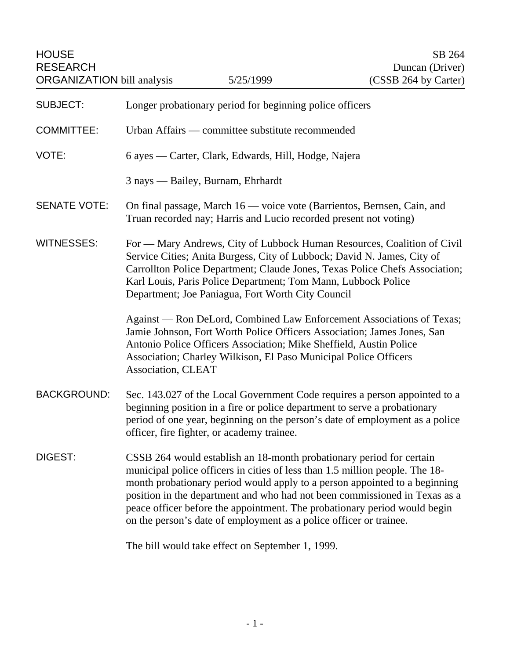| <b>HOUSE</b><br><b>RESEARCH</b><br><b>ORGANIZATION</b> bill analysis |                                                                                                                                                                                                                                                                                                                                                         | 5/25/1999                                                                                                                                  | SB 264<br>Duncan (Driver)<br>(CSSB 264 by Carter)                                                                                                                                                                                                                                                                     |
|----------------------------------------------------------------------|---------------------------------------------------------------------------------------------------------------------------------------------------------------------------------------------------------------------------------------------------------------------------------------------------------------------------------------------------------|--------------------------------------------------------------------------------------------------------------------------------------------|-----------------------------------------------------------------------------------------------------------------------------------------------------------------------------------------------------------------------------------------------------------------------------------------------------------------------|
| <b>SUBJECT:</b>                                                      |                                                                                                                                                                                                                                                                                                                                                         | Longer probationary period for beginning police officers                                                                                   |                                                                                                                                                                                                                                                                                                                       |
| <b>COMMITTEE:</b>                                                    |                                                                                                                                                                                                                                                                                                                                                         | Urban Affairs — committee substitute recommended                                                                                           |                                                                                                                                                                                                                                                                                                                       |
| VOTE:                                                                | 6 ayes — Carter, Clark, Edwards, Hill, Hodge, Najera                                                                                                                                                                                                                                                                                                    |                                                                                                                                            |                                                                                                                                                                                                                                                                                                                       |
|                                                                      |                                                                                                                                                                                                                                                                                                                                                         | 3 nays - Bailey, Burnam, Ehrhardt                                                                                                          |                                                                                                                                                                                                                                                                                                                       |
| <b>SENATE VOTE:</b>                                                  | On final passage, March 16 — voice vote (Barrientos, Bernsen, Cain, and<br>Truan recorded nay; Harris and Lucio recorded present not voting)                                                                                                                                                                                                            |                                                                                                                                            |                                                                                                                                                                                                                                                                                                                       |
| <b>WITNESSES:</b>                                                    | For — Mary Andrews, City of Lubbock Human Resources, Coalition of Civil<br>Service Cities; Anita Burgess, City of Lubbock; David N. James, City of<br>Carrollton Police Department; Claude Jones, Texas Police Chefs Association;<br>Karl Louis, Paris Police Department; Tom Mann, Lubbock Police<br>Department; Joe Paniagua, Fort Worth City Council |                                                                                                                                            |                                                                                                                                                                                                                                                                                                                       |
|                                                                      | Association, CLEAT                                                                                                                                                                                                                                                                                                                                      | Antonio Police Officers Association; Mike Sheffield, Austin Police<br>Association; Charley Wilkison, El Paso Municipal Police Officers     | Against — Ron DeLord, Combined Law Enforcement Associations of Texas;<br>Jamie Johnson, Fort Worth Police Officers Association; James Jones, San                                                                                                                                                                      |
| <b>BACKGROUND:</b>                                                   |                                                                                                                                                                                                                                                                                                                                                         | officer, fire fighter, or academy trainee.                                                                                                 | Sec. 143.027 of the Local Government Code requires a person appointed to a<br>beginning position in a fire or police department to serve a probationary<br>period of one year, beginning on the person's date of employment as a police                                                                               |
| DIGEST:                                                              |                                                                                                                                                                                                                                                                                                                                                         | CSSB 264 would establish an 18-month probationary period for certain<br>on the person's date of employment as a police officer or trainee. | municipal police officers in cities of less than 1.5 million people. The 18-<br>month probationary period would apply to a person appointed to a beginning<br>position in the department and who had not been commissioned in Texas as a<br>peace officer before the appointment. The probationary period would begin |
|                                                                      |                                                                                                                                                                                                                                                                                                                                                         | The bill would take effect on September 1, 1000                                                                                            |                                                                                                                                                                                                                                                                                                                       |

The bill would take effect on September 1, 1999.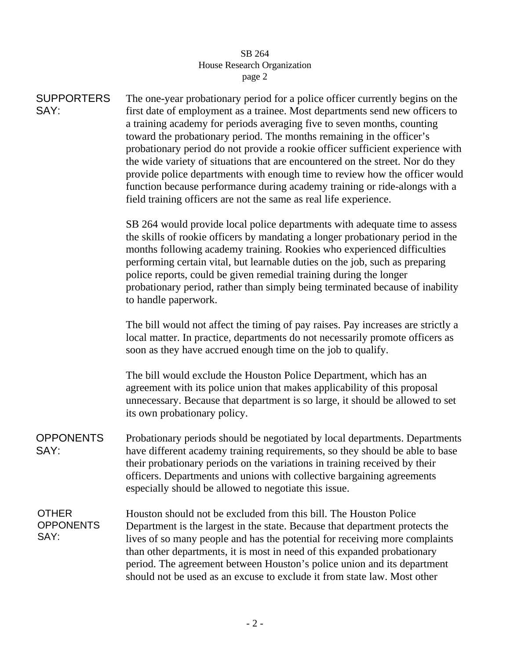## SB 264 House Research Organization page 2

| <b>SUPPORTERS</b><br>SAY:                | The one-year probationary period for a police officer currently begins on the<br>first date of employment as a trainee. Most departments send new officers to<br>a training academy for periods averaging five to seven months, counting<br>toward the probationary period. The months remaining in the officer's<br>probationary period do not provide a rookie officer sufficient experience with<br>the wide variety of situations that are encountered on the street. Nor do they<br>provide police departments with enough time to review how the officer would<br>function because performance during academy training or ride-alongs with a<br>field training officers are not the same as real life experience. |  |  |
|------------------------------------------|-------------------------------------------------------------------------------------------------------------------------------------------------------------------------------------------------------------------------------------------------------------------------------------------------------------------------------------------------------------------------------------------------------------------------------------------------------------------------------------------------------------------------------------------------------------------------------------------------------------------------------------------------------------------------------------------------------------------------|--|--|
|                                          | SB 264 would provide local police departments with adequate time to assess<br>the skills of rookie officers by mandating a longer probationary period in the<br>months following academy training. Rookies who experienced difficulties<br>performing certain vital, but learnable duties on the job, such as preparing<br>police reports, could be given remedial training during the longer<br>probationary period, rather than simply being terminated because of inability<br>to handle paperwork.                                                                                                                                                                                                                  |  |  |
|                                          | The bill would not affect the timing of pay raises. Pay increases are strictly a<br>local matter. In practice, departments do not necessarily promote officers as<br>soon as they have accrued enough time on the job to qualify.                                                                                                                                                                                                                                                                                                                                                                                                                                                                                       |  |  |
|                                          | The bill would exclude the Houston Police Department, which has an<br>agreement with its police union that makes applicability of this proposal<br>unnecessary. Because that department is so large, it should be allowed to set<br>its own probationary policy.                                                                                                                                                                                                                                                                                                                                                                                                                                                        |  |  |
| <b>OPPONENTS</b><br>SAY:                 | Probationary periods should be negotiated by local departments. Departments<br>have different academy training requirements, so they should be able to base<br>their probationary periods on the variations in training received by their<br>officers. Departments and unions with collective bargaining agreements<br>especially should be allowed to negotiate this issue.                                                                                                                                                                                                                                                                                                                                            |  |  |
| <b>OTHER</b><br><b>OPPONENTS</b><br>SAY: | Houston should not be excluded from this bill. The Houston Police<br>Department is the largest in the state. Because that department protects the<br>lives of so many people and has the potential for receiving more complaints<br>than other departments, it is most in need of this expanded probationary<br>period. The agreement between Houston's police union and its department<br>should not be used as an excuse to exclude it from state law. Most other                                                                                                                                                                                                                                                     |  |  |